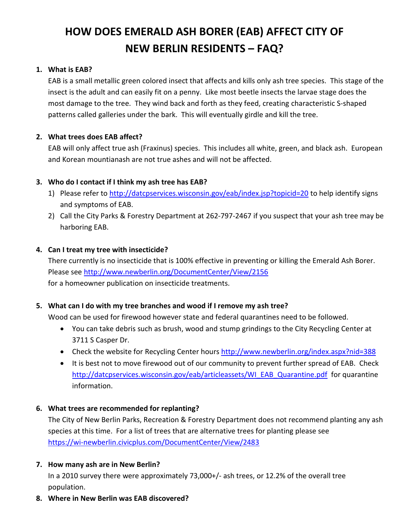# **HOW DOES EMERALD ASH BORER (EAB) AFFECT CITY OF NEW BERLIN RESIDENTS – FAQ?**

## **1. What is EAB?**

EAB is a small metallic green colored insect that affects and kills only ash tree species. This stage of the insect is the adult and can easily fit on a penny. Like most beetle insects the larvae stage does the most damage to the tree. They wind back and forth as they feed, creating characteristic S-shaped patterns called galleries under the bark. This will eventually girdle and kill the tree.

# **2. What trees does EAB affect?**

EAB will only affect true ash (Fraxinus) species. This includes all white, green, and black ash. European and Korean mountianash are not true ashes and will not be affected.

# **3. Who do I contact if I think my ash tree has EAB?**

- 1) Please refer to<http://datcpservices.wisconsin.gov/eab/index.jsp?topicid=20> to help identify signs and symptoms of EAB.
- 2) Call the City Parks & Forestry Department at 262-797-2467 if you suspect that your ash tree may be harboring EAB.

### **4. Can I treat my tree with insecticide?**

There currently is no insecticide that is 100% effective in preventing or killing the Emerald Ash Borer. Please see <http://www.newberlin.org/DocumentCenter/View/2156> for a homeowner publication on insecticide treatments.

### **5. What can I do with my tree branches and wood if I remove my ash tree?**

Wood can be used for firewood however state and federal quarantines need to be followed.

- You can take debris such as brush, wood and stump grindings to the City Recycling Center at 3711 S Casper Dr.
- Check the website for Recycling Center hours <http://www.newberlin.org/index.aspx?nid=388>
- It is best not to move firewood out of our community to prevent further spread of EAB. Check [http://datcpservices.wisconsin.gov/eab/articleassets/WI\\_EAB\\_Quarantine.pdf](http://datcpservices.wisconsin.gov/eab/articleassets/WI_EAB_Quarantine.pdf) for quarantine information.

### **6. What trees are recommended for replanting?**

The City of New Berlin Parks, Recreation & Forestry Department does not recommend planting any ash species at this time. For a list of trees that are alternative trees for planting please see <https://wi-newberlin.civicplus.com/DocumentCenter/View/2483>

### **7. How many ash are in New Berlin?**

In a 2010 survey there were approximately 73,000+/- ash trees, or 12.2% of the overall tree population.

**8. Where in New Berlin was EAB discovered?**